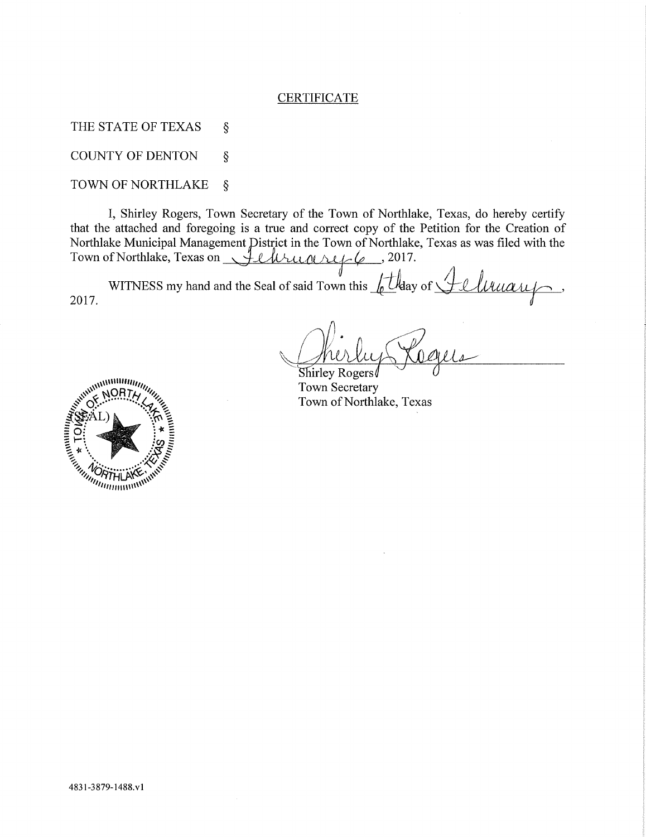# **CERTIFICATE**

THE STATE OF TEXAS  $\hat{S}$ 

COUNTY OF DENTON ş

# TOWN OF NORTHLAKE §

I, Shirley Rogers, Town Secretary of the Town of Northlake, Texas, do hereby certify that the attached and foregoing is a true and correct copy of the Petition for the Creation of Northlake Municipal Management District in the Town of Northlake, Texas as was filed with the Town of Northlake, Texas on *Allman ruple*, 2017.

2017. WITNESS my hand and the Seal of said Town this <u>f</u>t thay of <u>Jellruary</u>,

 $Shirley Rogers/$ Town Secretary Town of Northlake, Texas

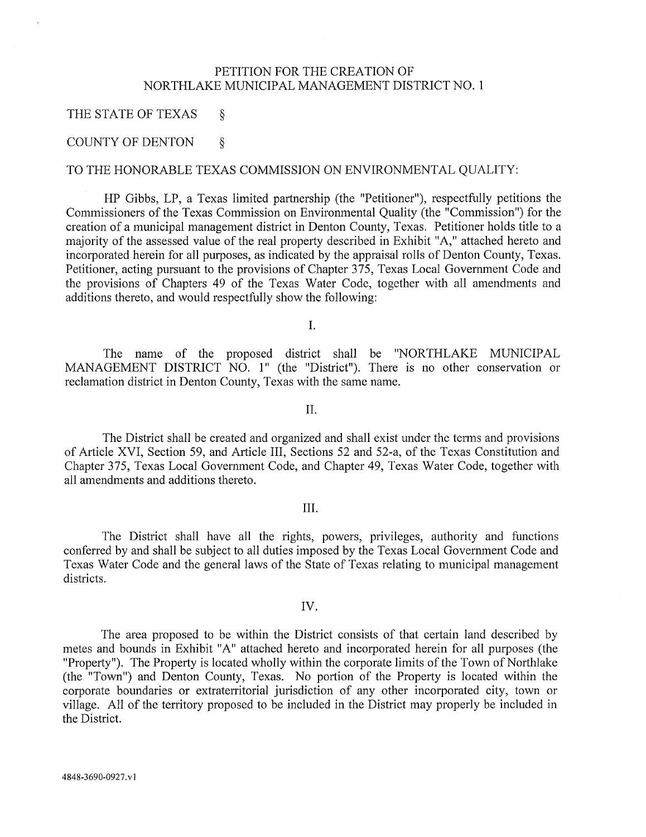# PETITION FOR THE CREATION OF NORTHLAKE MUNICIPAL MANAGEMENT DISTRICT NO. 1

# THE STATE OF TEXAS  $\&$

# COUNTY OF DENTON  $\S$

### TO THE HONORABLE TEXAS COMMISSION ON ENVIRONMENTAL QUALITY:

HP Gibbs, LP, a Texas limited partnership (the "Petitioner"), respectfully petitions the Commissioners of the Texas Commission on Environmental Quality (the "Commission") for the creation of a municipal management district in Denton County, Texas. Petitioner holds title to a majority of the assessed value of the real property described in Exhibit "A, " attached hereto and incorporated herein for all purposes, as indicated by the appraisal rolls of Denton County, Texas. Petitioner, acting pursuant to the provisions of Chapter 375, Texas Local Government Code and the provisions of Chapters 49 of the Texas Water Code, together with all amendments and additions thereto, and would respectfully show the following:

I.

The name of the proposed district shall be "NORTHLAKE MUNICIPAL MANAGEMENT DISTRICT NO. 1" (the "District"). There is no other conservation or reclamation district in Denton County, Texas with the same name.

II.

The District shall be created and organized and shall exist under the terms and provisions of Article XVI, Section 59, and Article III, Sections 52 and 52-a, of the Texas Constitution and Chapter 375, Texas Local Government Code, and Chapter 49, Texas Water Code, together with all amendments and additions thereto.

# III.

The District shall have all the rights, powers, privileges, authority and functions conferred by and shall be subject to all duties imposed by the Texas Local Government Code and Texas Water Code and the general laws of the State of Texas relating to municipal management districts.

### IV.

The area proposed to be within the District consists of that certain land described by metes and bounds in Exhibit "A" attached hereto and incorporated herein for all purposes (the "Property"). The Property is located wholly within the corporate limits of the Town of Northlake (the "Town") and Denton County, Texas. No portion of the Property is located within the corporate boundaries or extraterritorial jurisdiction of any other incorporated city, town or village. All of the territory proposed to be included in the District may properly be included in the District.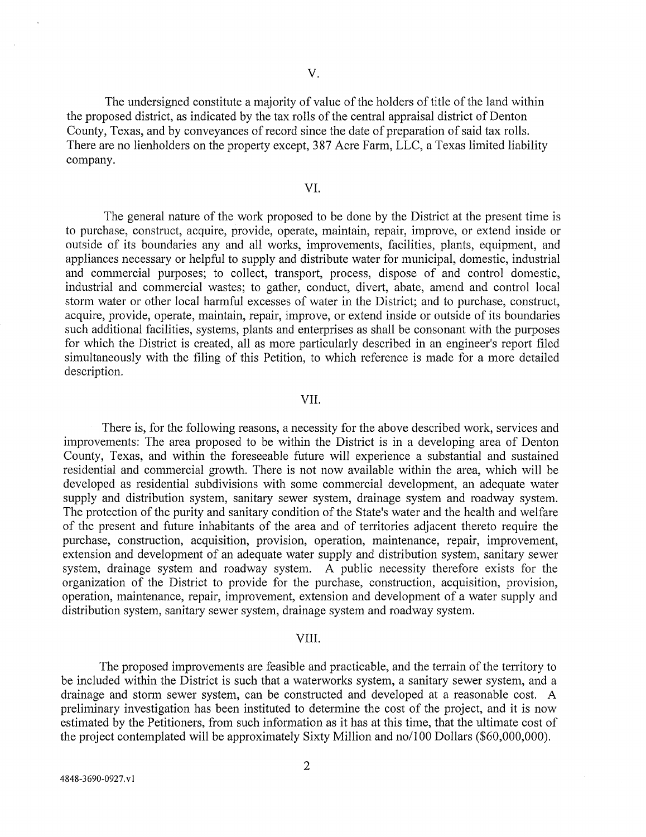The undersigned constitute a majority of value of the holders of title of the land within the proposed district, as indicated by the tax rolls of the central appraisal district of Denton County, Texas, and by conveyances of record since the date of preparation of said tax rolls. There are no lienholders on the property except, 387 Acre Farm, LLC , a Texas limited liability company.

# VI.

The general nature of the work proposed to be done by the District at the present time is to purchase, construct, acquire, provide, operate, maintain, repair, improve, or extend inside or outside of its boundaries any and all works, improvements, facilities, plants, equipment, and appliances necessary or helpful to supply and distribute water for municipal, domestic, industrial and commercial purposes; to collect, transport, process, dispose of and control domestic, industrial and commercial wastes; to gather, conduct, divert, abate, amend and control local storm water or other local harmful excesses of water in the District; and to purchase, construct, acquire, provide, operate, maintain, repair, improve, or extend inside or outside of its boundaries such additional facilities, systems, plants and enterprises as shall be consonant with the purposes for which the District is created, all as more particularly described in an engineer's report filed simultaneously with the filing of this Petition, to which reference is made for a more detailed description.

## VII.

There is, for the following reasons, a necessity for the above described work, services and improvements: The area proposed to be within the District is in a developing area of Denton County, Texas, and within the foreseeable future will experience a substantial and sustained residential and commercial growth. There is not now available within the area, which will be developed as residential subdivisions with some commercial development, an adequate water supply and distribution system, sanitary sewer system, drainage system and roadway system. The protection of the purity and sanitary condition of the State's water and the health and welfare of the present and future inhabitants of the area and of territories adjacent thereto require the purchase, construction, acquisition, provision, operation, maintenance, repair, improvement, extension and development of an adequate water supply and distribution system, sanitary sewer system, drainage system and roadway system. A public necessity therefore exists for the organization of the District to provide for the purchase, construction, acquisition, provision, operation, maintenance, repair, improvement, extension and development of a water supply and distribution system, sanitary sewer system, drainage system and roadway system.

### VIII.

The proposed improvements are feasible and practicable, and the terrain of the territory to be included within the District is such that a waterworks system, a sanitary sewer system, and a drainage and storm sewer system, can be constructed and developed at a reasonable cost. A preliminary investigation has been instituted to determine the cost of the project, and it is now estimated by the Petitioners, from such information as it has at this time, that the ultimate cost of the project contemplated will be approximately Sixty Million and no/100 Dollars (\$60,000,000).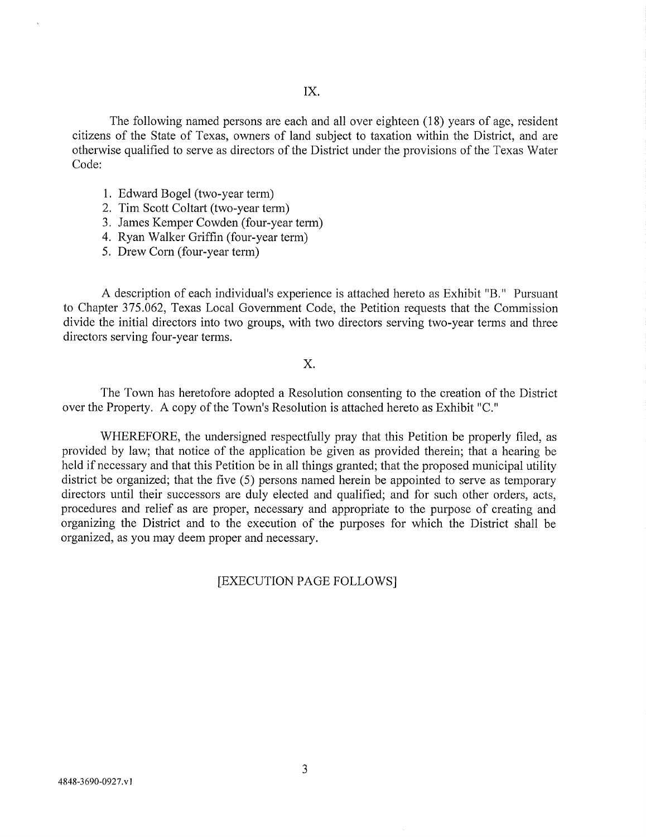The following named persons are each and all over eighteen (18) years of age, resident citizens of the State of Texas, owners of land subject to taxation within the District, and are otherwise qualified to serve as directors of the District under the provisions of the Texas Water Code:

- 1. Edward Bogel (two-year term)
- 2. Tim Scott Coltart (two-year term)
- 3. James Kemper Cowden (four-year term)
- 4. Ryan Walker Griffin (four-year term)
- 5. Drew Com (four-year term)

A description of each individual's experience is attached hereto as Exhibit "B." Pursuant to Chapter 375.062, Texas Local Government Code, the Petition requests that the Commission divide the initial directors into two groups, with two directors serving two-year terms and three directors serving four-year terms.

# $X$ .

The Town has heretofore adopted a Resolution consenting to the creation of the District over the Property. A copy of the Town's Resolution is attached hereto as Exhibit "C. "

WHEREFORE, the undersigned respectfully pray that this Petition be properly filed, as provided by law; that notice of the application be given as provided therein; that a hearing be held if necessary and that this Petition be in all things granted; that the proposed municipal utility district be organized; that the five (5) persons named herein be appointed to serve as temporary directors until their successors are duly elected and qualified; and for such other orders, acts, procedures and relief as are proper, necessary and appropriate to the purpose of creating and organizing the District and to the execution of the purposes for which the District shall be organized, as you may deem proper and necessary.

# [EXECUTION PAGE FOLLOWS]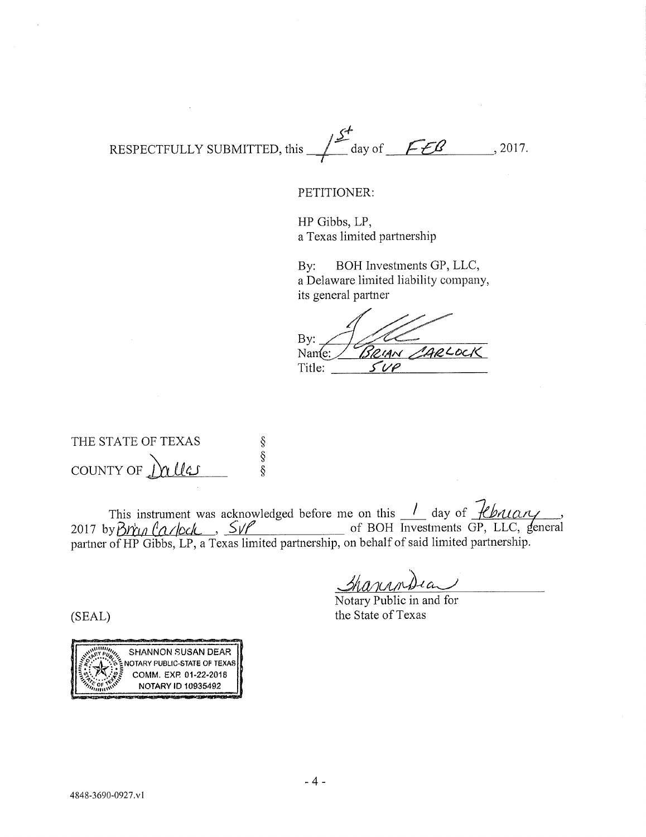RESPECTFULLY SUBMITTED, this  $\frac{f^2}{\sqrt{2}}$  day of *f-£ 8* ..., 2017.

### PETITIONER:

HP Gibbs, LP, a Texas limited partnership

By: BOH Investments GP, LLC, a Delaware limited liability company, its general partner

By: 1804 CAL Title:

THE STATE OF TEXAS s<br>\$<br>\$ COUNT Y OF *^hcildAJ* 

This instrument was acknowledged before me on this <u>decay</u> day of *fluttury* 2017 by  $\beta r$   $\alpha$  /ock,  $\sqrt{s}$  /  $\alpha$  /of BOH Investments GP, LLC, general partner of HP Gibbs, LP, a Texas limited partnership, on behalf of said limited partnership.

 $M$  $M$  $M$  $A$  $A$  $C$ <br>Notary Public in and for ionondia

the State of Texas

(SEAL)

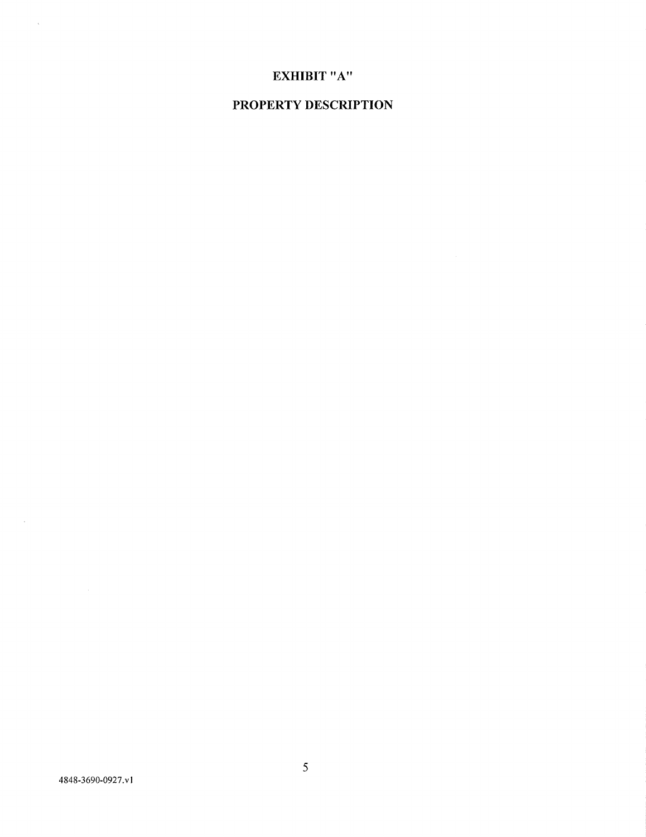### **4848-3690-0927.VI**

 $\mathcal{A}^{\pm}$ 

 $\bar{z}$ 

# **PROPERTY DESCRIPTION**

# **EXHIBIT "A"**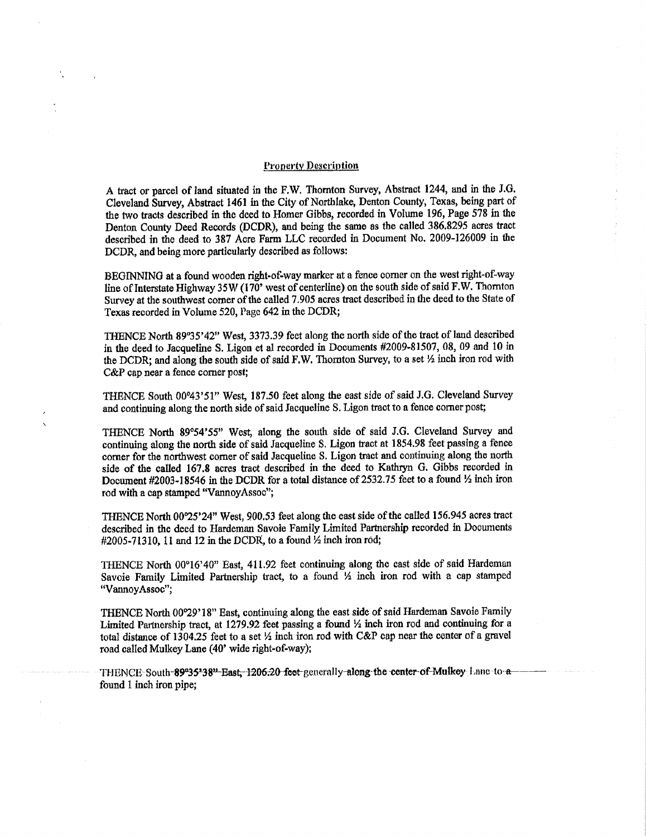### **Pronerty Description**

**A tract or parcel of land situated in the F,W. Thornton Survey, Abstract 1244, and m the J.G. Cleveland Survey, Abstract 1461 in the City of Northlake, Denton County, Texas, being part of the two tracts described in the deed to Homer Gibbs, recorded in Volume 196, Page 578 in the Denton County Deed Records (DCDR), and being the same as the called 386.8295 acres tract described in the deed to 387 Acre Farm LLC recorded m Document No. 2009-126009 in the DCDR, and being more particularly described as follows:** 

**BEGINNING at a found wooden right-of-way marker at a fence comer on the west right-of-way line of Interstate Highway 35 W (170' west of centerline) on the south side of said F.W. Thornton Survey at the southwest comer of the called 7.905 acres tract described in the deed to the State of Texas recorded in Volume 520, Page 642 m the DCDR;** 

**THENCE North 89°35'42" West, 3373.39 feet along the north side of the tract of land described in the deed to Jacqueline S. Ligon et al recorded in Documents #2009-81507, 08, 09 and 10 in the DCDR; and along the south side of said F.W. Thornton Survey, to a set** *V%* **inch iron rod with C&P cap near a fence comer post;** 

**THENCE South 00°43'51" West, 187.50 feet along the east side of said J.G. Cleveland Survey and continuing along the north side of said Jacqueline S. Ligon tract to a fence comer post;** 

**THENCE North 89°54'55" West, along the south side of said J.G. Cleveland Survey and contmumg along the north side of said Jacquelme S. Ligon tract at 1854.98 feet passing a fence comer for the northwest comer of said Jacqueline S. Ligon tract and continuing along the north side of the called 167.8 acres tract described in the deed to Kathryn G. Gibbs recorded in**  Document #2003-18546 in the DCDR for a total distance of 2532.75 feet to a found <sup>1</sup>/<sub>2</sub> inch iron **rod with a cap stamped "VannoyAssoo";** 

**THENCE North 00°25'24" West, 900.53 feet along the east side of the called 156.945 acres tract described in the deed to Hardeman Savoie Family Limited Partnership recorded in Documents #2005-71310,** 1**1 and 12 in the DCDR, to a found** *'A* **hich iron rod;** 

**THENCE North 00°16'40" East, 411.92 feet continuing along the east side of said Hardeman**  Savoie Family Limited Partnership tract, to a found  $\frac{1}{2}$  inch iron rod with a cap stamped **"VannoyAssoc";** 

**THENCE North 00°29'18" East, continuing along the east side of said Hardeman Savoie Family**  Limited Partnership tract, at 1279.92 feet passing a found  $\frac{1}{2}$  inch iron rod and continuing for a total distance of 1304.25 feet to a set  $\frac{1}{2}$  inch iron rod with C&P cap near the center of a gravel **road called Mulkey Lane (40' wide right-of-way);** 

THENCE: South-89°35'38"-East;-1206;20-feet-gencrally-along-the center-of-Mulkey Lane-to-a**found** 1 **inch iron pipe;**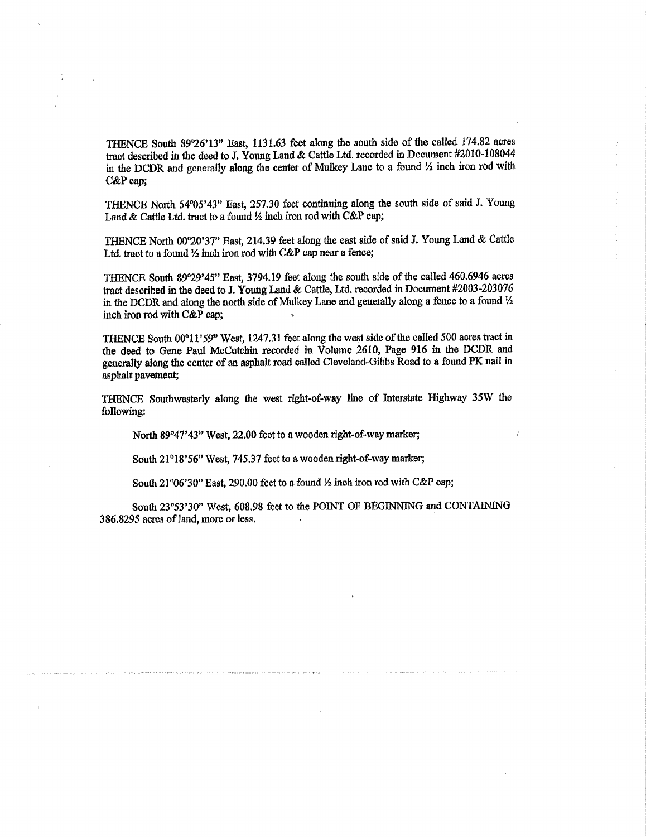**THENCE South S9'26'13" East, 1131.63 feet along the south side of the called 174.82 acres tract described in the deed to J. Young Land & Cattle Ltd. recorded in Document #2010-108044**  in the DCDR and generally along the center of Mulkey Lane to a found  $\frac{1}{2}$  inch iron rod with **C&P cap;** 

THENCE North 54°05'43" East, 257.30 feet continuing along the south side of said J. Young Land & Cattle Ltd. tract to a found  $\frac{1}{2}$  inch iron rod with C&P cap;

THENCE North 00°20'37" East, 214.39 feet along the east side of said J. Young Land & Cattle Ltd, tract to a found  $\frac{1}{2}$  inch iron rod with C&P cap near a fence;

THENCE South 89°29'45" East, 3794.19 feet along the south side of the called 460.6946 acres **tract described in the deed to J. Young Land & Cattle, Ltd. recorded in Document #2003-203076**  in the DCDR and along the north side of Mulkey Lane and generally along a fence to a found  $\frac{1}{2}$ **inch iron rod with C&P cap;** 

**THENCE South 00°11'59" West, 1247.31 feet along the west side of the called 500 acres tract in the deed to Gene Paul McCutchm recorded m Volume 2610, Page 916 in the DCDR and generally along the center of an asphalt road called Cleveland^Gibbs Road to a found PK nail in asphalt pavement;** 

**THENCE Southwesterly along the west right-of-way Ime of hiterstate Highway 35W the following:** 

**North 89°47\*43" West, 22,00 feet to a wooden right-of-way marker;** 

South 21°18'56" West, 745.37 feet to a wooden right-of-way marker;

South 21°06'30" East, 290.00 feet to a found  $\frac{1}{2}$  inch iron rod with C&P cap;

South 23°53'30" West, 608.98 feet to the POINT OF BEGINNING and CONTAINING **386.8295 acres of land, more or less.**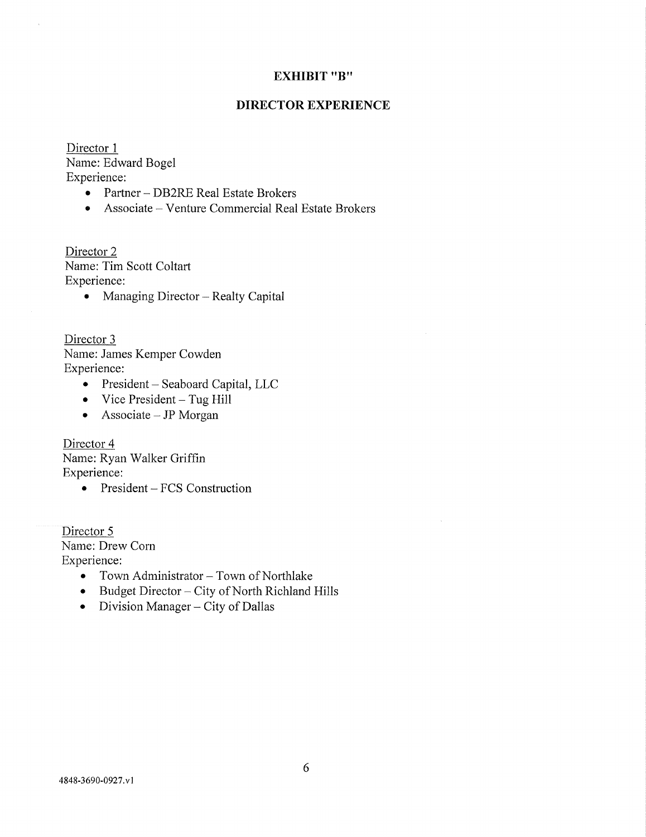# **EXHIBIT "B"**

# **DIRECTOR EXPERIENCE**

Director 1 Name: Edward Bogel Experience:

- Partner DB2RE Real Estate Brokers
- Associate Venture Commercial Real Estate Brokers

Director 2 Name: Tim Scott Coltart Experience:

• Managing Director – Realty Capital

Director 3 Name: James Kemper Cowden Experience:

- President Seaboard Capital, LLC
- $\bullet$  Vice President Tug Hill
- Associate  $-$  JP Morgan

Director 4 Name: Ryan Walker Griffin Experience:

• President – FCS Construction

Director 5 Name: Drew Corn Experience:

- Town Administrator Town of Northlake
- Budget Director City of North Richland Hills
- Division Manager City of Dallas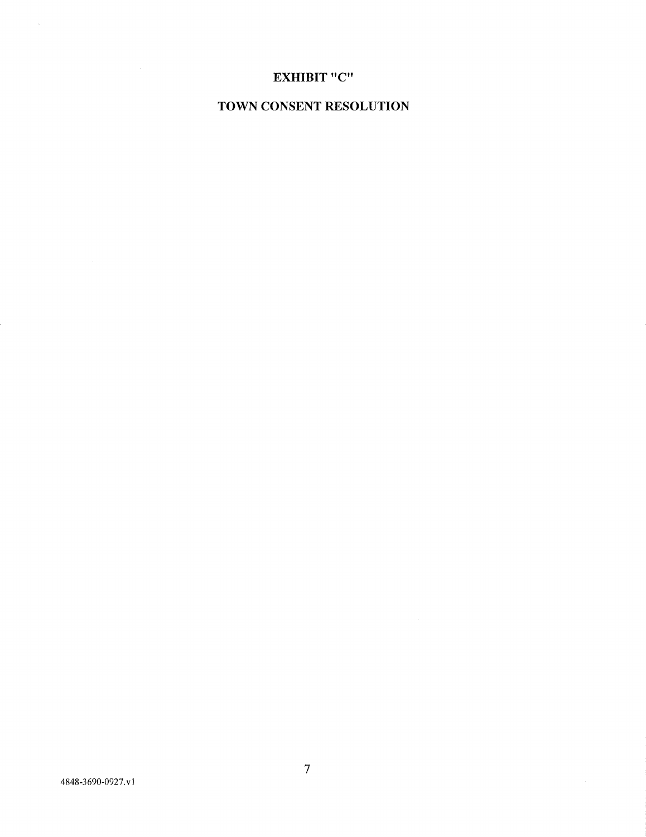### **4848-3690-0927. vl**

 $\mathcal{A}^{\mathcal{A}}$ 

 $\sim 10^6$ 

# **TOWN CONSENT RESOLUTION**

# **EXHIBIT "C "**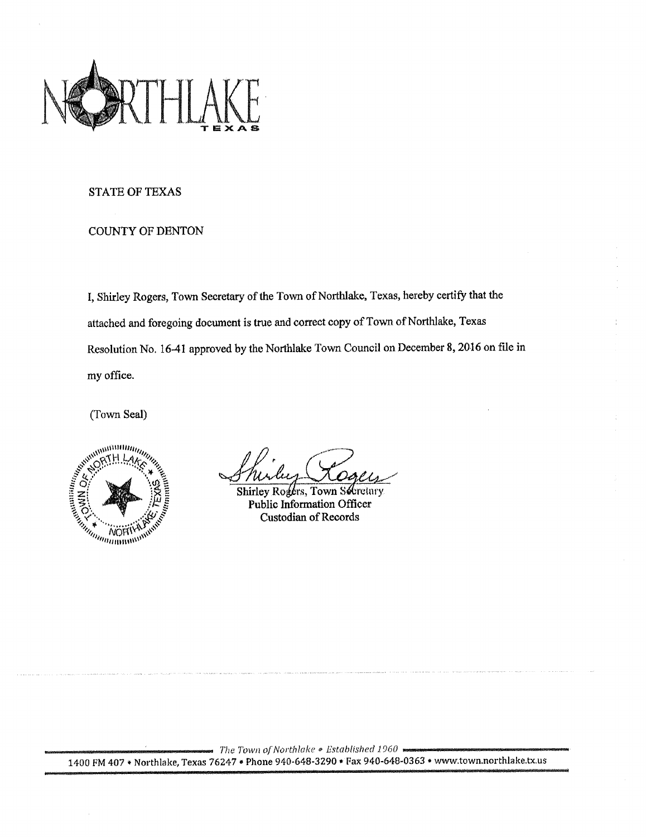

### **STATE OF TEXAS**

# **COUNTY OF DENTON**

**I, Shirley Rogers, Town Secretary of the Town of Northlake, Texas, hereby certify that the attached and foregoing document is true and correct copy of Town of Northlake, Texas**  Resolution No. 16-41 approved by the Northlake Town Council on December 8, 2016 on file in **my office.** 

**(Town Seal)** 



**Shirley Rogers, Town Schretary Public Information Officer Custodian of Records** 

*The Town of Northlake • Established 1960*  **1400 FM 407 • Northlake, Texas 76247 • Phone 940-648-3290 » Fax 940-648-0363 \* www.town.northlake.tx.us**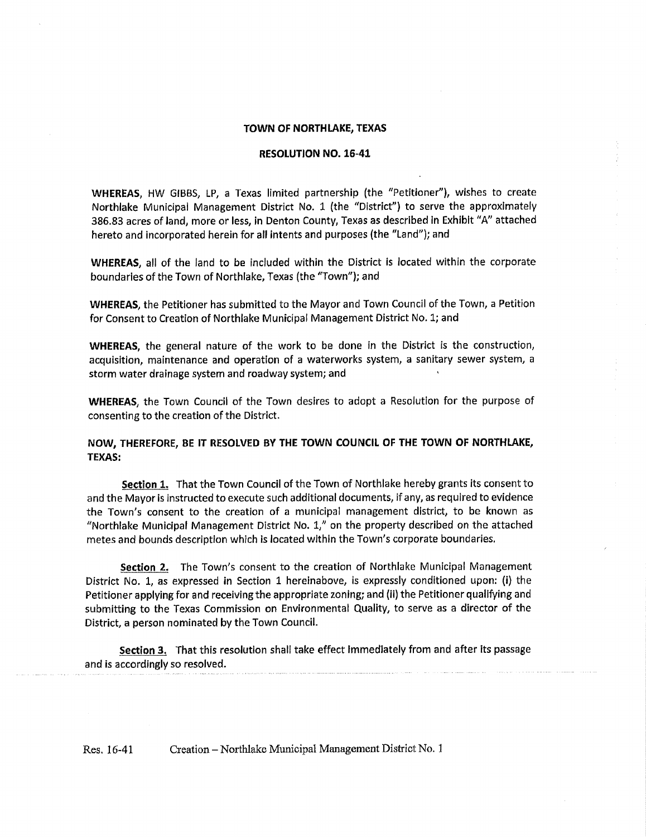### **TOWN OF NORTHLAKE, TEXAS**

### **RESOLUTION NO. 16-41**

**WHEREAS,** HW GIBBS, LP, a Texas limited partnership (the "Petitioner"), wishes to create Northlake Municipal Management District No. 1 (the "District") to serve the approximately 386.83 acres of land, more or less, in Denton County, Texas as described in Exhibit "A" attached hereto and incorporated herein for all intents and purposes (the "Land"); and

**WHEREAS,** all of the land to be included within the District **is** located within the corporate boundaries of the Town of Northlake, Texas (the "Town"); and

**WHEREAS,** the Petitioner has submitted to the Mayor and Town Council of the Town, a Petition for Consent to Creation of Northlake Municipal Management District No. 1; and

**WHEREAS,** the general nature of the work to be done in the District is the construction, acquisition, maintenance and operation of a waterworks system, a sanitary sewer system, a storm water drainage system and roadway system; and

**WHEREAS,** the Town Council of the Town desires to adopt a Resolution for the purpose of consenting to the creation of the District.

### **NOW, THEREFORE, BE IT RESOLVED BY THE TOWN COUNCIL OF THE TOWN OF NORTHLAKE, TEXAS:**

**Section 1.** That the Town Council of the Town of Northlake hereby grants its consent to and the Mayor is instructed to execute such additional documents, if any, as required to evidence the Town**'s** consent to the creation of a municipal management district, to be known as "Northlake Municipal Management District No. 1," on the property described on the attached metes and bounds description which is located within the Town's corporate boundaries.

**Section 2.** The Town's consent to the creation of Northlake Municipal Management District No. 1, as expressed in Section 1 hereinabove, is expressly conditioned upon: **(i)** the Petitioner applying for and receiving the appropriate zoning; and (ii) the Petitioner qualifying and submitting to the Texas Commission on Environmental Quality, to serve as a director of the District, a person nominated by the Town Council.

**Section 3.** That this resolution shall take effect Immediately from and after its passage and is accordingly so resolved.

Res. 16-41 Creation - Northlake Municipal Management District No. 1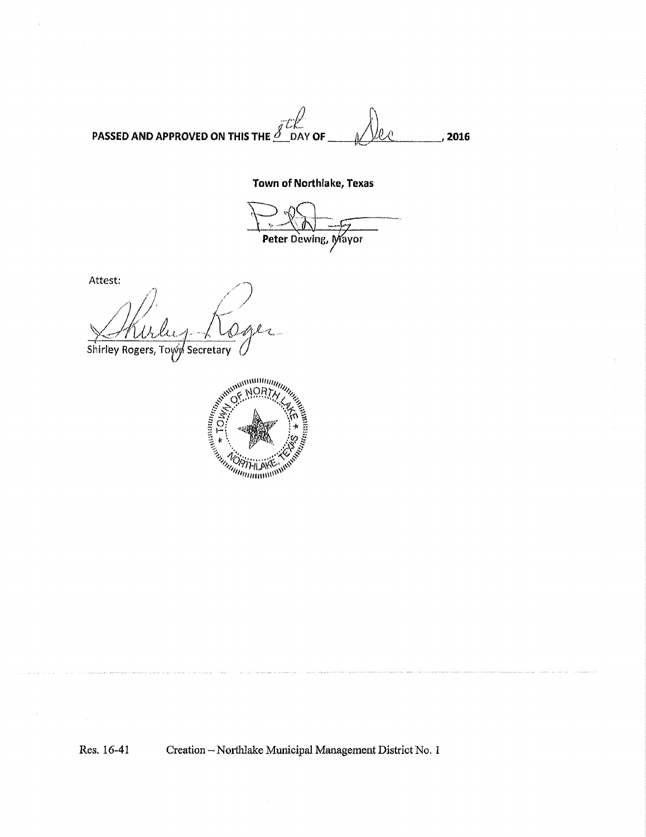**PASSED AND APPROVED ON THIS THE** ^ DAY **OF** ^/lii<^ . **2016** 

# **Town of Northlake, Texas**

Peter Dewing, Mayor

Attest;

Shirley Rogers, Toyy Secretary



**Res, 16-41 Creation - Northlake Municipal Management District No. 1**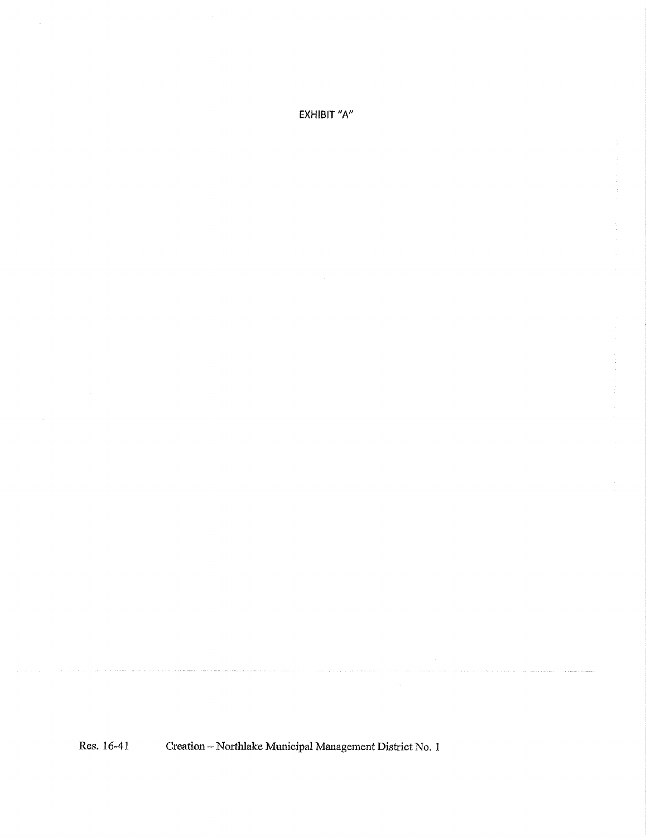EXHIBIT *"h"* 

 $\bar{\mathcal{L}}$ 

Res. 16-41 Creation - Northlake Municipal Management District No. 1

.<br>In a group of the contract compared up group to a contract of the compared up and an extendion problem and the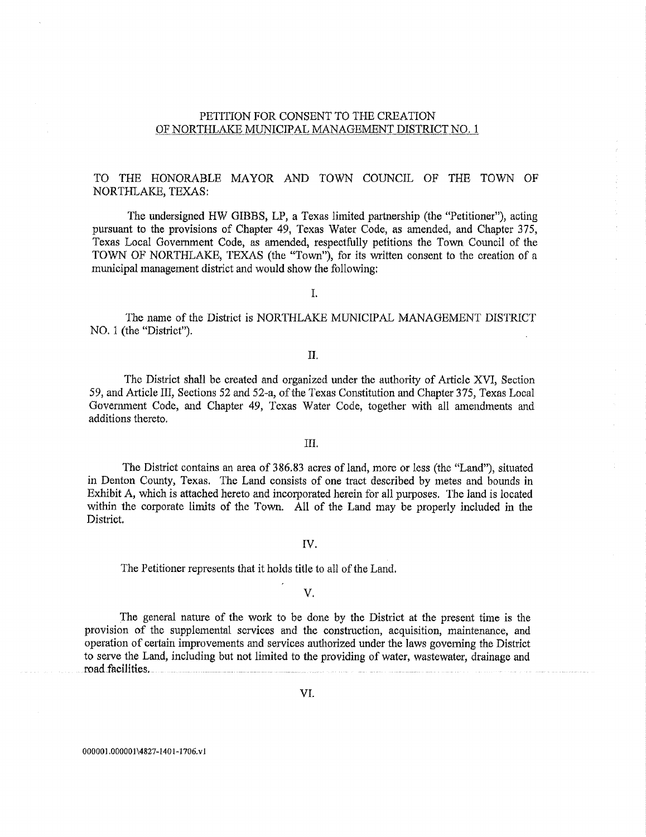### PETITION FOR CONSENT TO THE CREATION OF NORTHLAKE MUNICIPAL MANAGEMENT DISTRICT NO. 1

# TO THE HONORABLE MAYOR AND TOWN COUNCIL OF THE TOWN OF NORTHLAKE, TEXAS:

The undersigned HW GIBBS, LP, a Texas limited partnership (the "Petitioner"), acting pursuant to the provisions of Chapter 49, Texas Water Code, as amended, and Chapter 375, Texas Local Government Code, as amended, respectfully petitions the Town. Council of the TOWN OF NORTHLAKE, TEXAS (the "Town"), for its written consent to the creation of a municipal management district and would show the following:

I.

The name of the District is NORTHLAKE MUNICIPAL MANAGEMENT DISTRICT NO. 1 (the "District").

# II,

The District shall be created and organized under the authority of Article XVI, Section 59, and Article III, Sections 52 and 52-a, of the Texas Constitution and Chapter 375, Texas Local Government Code, and Chapter 49, Texas Water Code, together with all amendments and additions thereto,

### III.

The District contains an area of 386.83 acres of land, more or less (the "Land"), situated in Denton County, Texas. The Land consists of one tract described by metes and bounds in Exhibit A, which is attached hereto and incorporated herein for all purposes. The land is located within the corporate limits of the Town. All of the Land may be properly included in the District.

### IV.

The Petitioner represents that it holds title to all of the Land.

### V,

The general nature of the work to be done by the District at the present time is the provision of the supplemental services and the construction, acquisition, maintenance, and operation of certain improvements and services autliorized under the laws governing the District to serve the Land, including but not limited to the providing of water, wastewater, drainage and road-facilities,

**000001,000001 \4827" 1401 -1706, V1**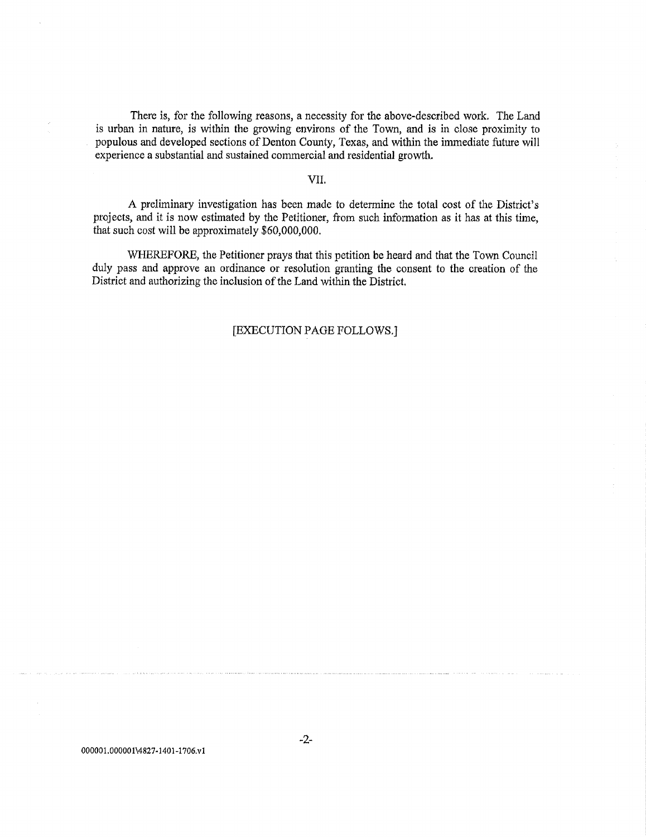There is, for the following reasons, a necessity for the above-described work. The Land is urban in nature, is within the growing environs of the Tovm, and is in close proximity to populous and developed sections of Denton County, Texas, and within the immediate future will experience a substantial and sustained commercial and residential growth.

### VII.

A preliminary investigation has been made to determine the total cost of the District's projects, and it is now estimated by the Petitioner, from such information as it has at this time, that such cost will be approximately \$60,000,000.

WHEREFORE, the Petitioner prays that this petition be heard and that the Town Council duly pass and approve an ordinance or resolution granting the consent to the creation of the District and authorizing the inclusion of the Land within the District.

# [EXECUTION PAGE FOLLOWS.]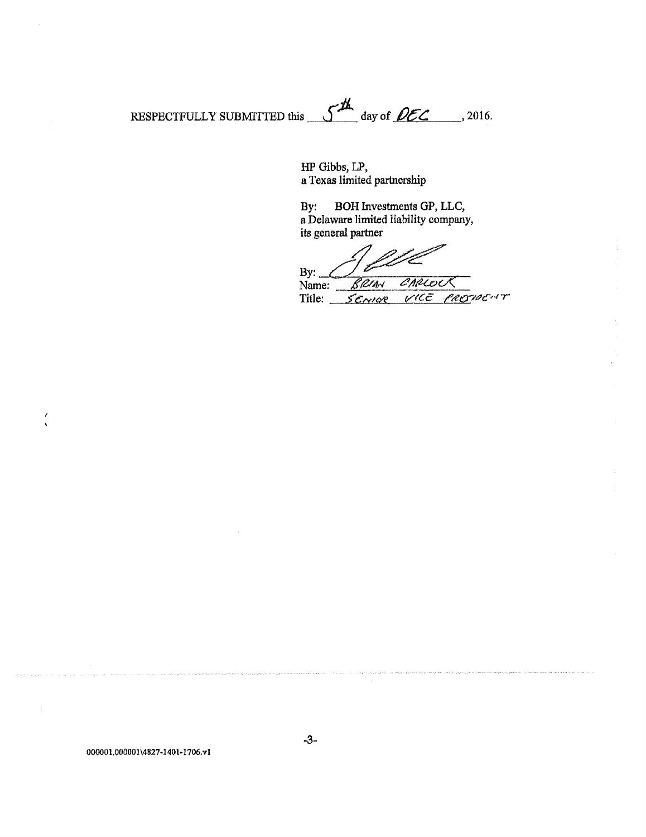**RESPECTFULLY** SUBMITTED this  $\int_{0}^{A}$  day of  $\theta$ *CC* 2016.

**HP Gibbs, LP, a Texas limited partnership** 

**By: BOH Investments GP, LLC, a Delaware limited liability company, its general partner** 

By: <u>CLE</u><br>Name: BRIAN Name: *BRIAN CARLOCK*<br>Title: *SENIDE VICE PROTIEC*HT Title: *SENIOR* 

**000001.000001\4827-1401-1706,vl** 

 $\prime$  $\ddot{\phantom{0}}$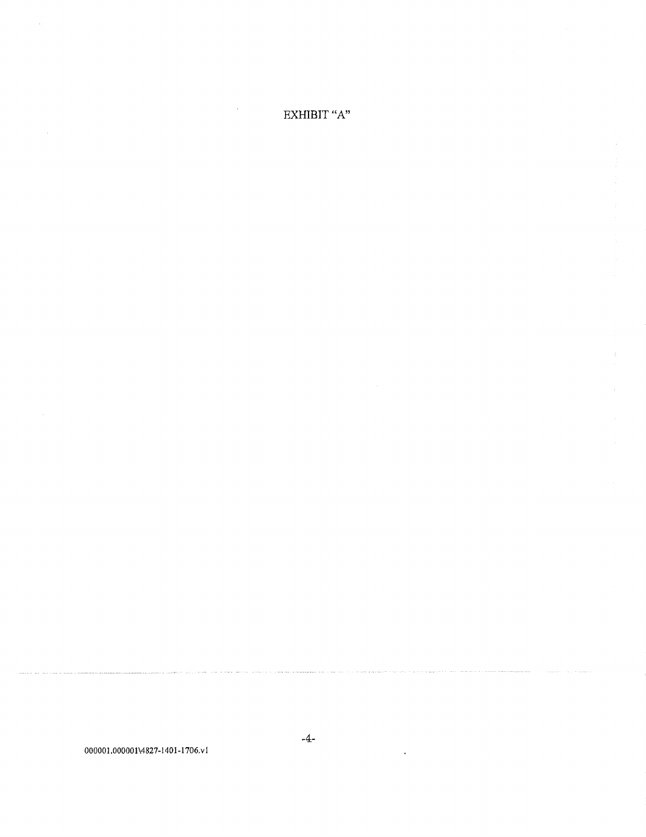.<br>Farith Filip Policia - Carolina and Carolina Route

 $\ddot{\phantom{a}}$ 

EXHIBIT "A"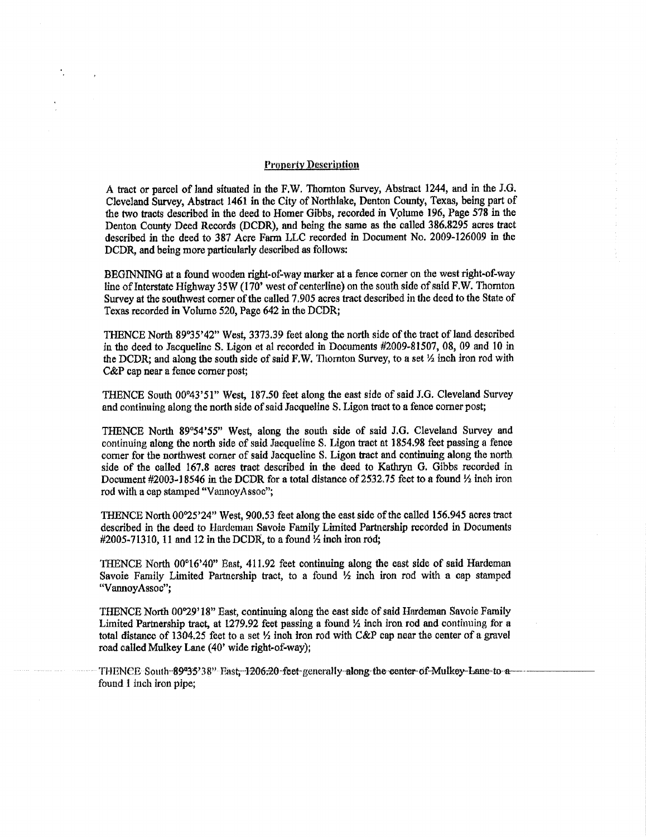### **Pfonertv Descriutiou**

**A tract or parcel of land situated in the F,W. Thornton Survey, Abstract 1244, and in the J.G. Cleveland Survey, Abstract 1461 in the City of Northlake, Denton County, Texas, being part of the two tracts described in the deed to Homer Gibbs, recorded in Volume 196, Page 578 in the Denton County Deed Records (DCDR), and being the same as the called 386.8295 acres tract described in the deed to 387 Acre Farm LLC recorded in Document No. 2009-126009 in the DCDR, and being more particularly described as follows:** 

**BEGINNING at a found wooden right-of-way marker at a fence comer on the west right-of-way**  line of Interstate Highway 35W (170' west of centerline) on the south side of said F.W. Thornton **Survey at the southwest comer of the called 7.905 acres tract described in the deed to the State of Texas recorded in Volume 520, Page 642 in the DCDR;** 

**THENCE North 89°35'42" West, 3373.39 feet along the north side of the tract of land described in the deed to Jacqueline S. Ligon et al recorded in Documents #2009-81507, 08, 09 and 10 in**  the DCDR; and along the south side of said F.W. Thornton Survey, to a set  $\frac{1}{2}$  inch iron rod with **C&P cap near a fence comer post;** 

THENCE South 00°43'51" West, 187.50 feet along the east side of said J.G. Cleveland Survey and continuing along the north side of said Jacqueline S. Ligon tract to a fence corner post;

**THENCE North 89°54'55" West, along** *the* **south side of said J.G. Cleveland Survey and continuing along the north side of said Jacqueline S. Ligon tract at 1854.98 feet passing a fence comer for the northwest comer of said Jacqueline S. Ligon tract and contmuing along the north side of the called 167.8 acres tract described in the deed to Kathryn G. Gibbs recorded in Document #2003-18546 m fbe DCDR for a total distance of 2532.75 feet to a found** *Yi* **inch iron rod with a cap stamped "VannoyAssoc";** 

**THENCE North 00°25'24" West, 900.53 feet along the east side of the caUed 156.945 acres tract described in the deed to Hardeman Savoie Family Limited Partnership recorded in Documents #2005-71310,11 and 12 in the DCDR, to a found** *Yz* **inch iron rod;** 

**THENCE North 00°16'40" East, 411.92 feet continuing along the east side of said Hardeman Savoie Family Limited Partnership tract, to a found** *Y2* **inch iron rod with a cap stamped "VamioyAssoc";** 

**THENCE North 00°29'18" East, continuing along the east side of said Hardeman Savoie Family Limited Partnership tract, at 1279.92 feet passing a found** *Yi* **inch iron rod and continuing for a**  total distance of 1304.25 feet to a set  $\frac{1}{2}$  inch iron rod with C&P cap near the center of a gravel **road called Mulkey Lane (40\* wide right-of-way);** 

THENCE South-89°35'38" Fast -1206;20-feet-generally-along the center-of-Mulkey-Lane-to a **found 1 inch iron pipe;**